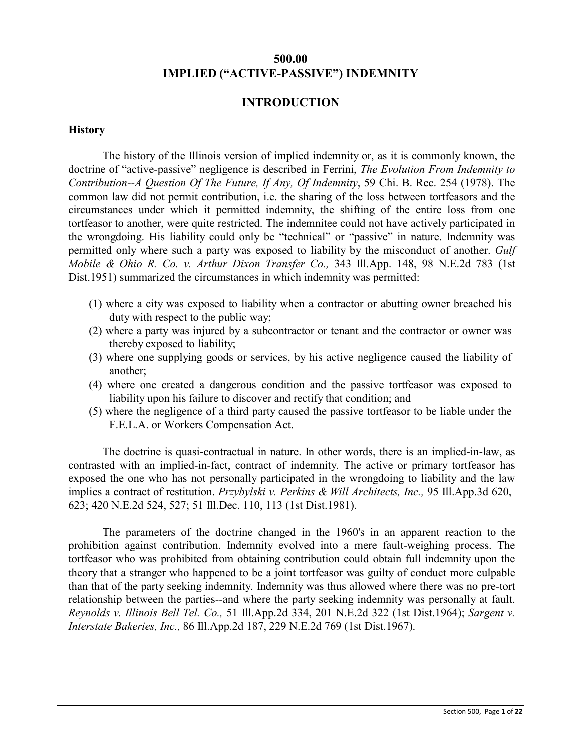# **500.00 IMPLIED ("ACTIVE-PASSIVE") INDEMNITY**

### **INTRODUCTION**

#### **History**

The history of the Illinois version of implied indemnity or, as it is commonly known, the doctrine of "active-passive" negligence is described in Ferrini, *The Evolution From Indemnity to Contribution--A Question Of The Future, If Any, Of Indemnity*, 59 Chi. B. Rec. 254 (1978). The common law did not permit contribution, i.e. the sharing of the loss between tortfeasors and the circumstances under which it permitted indemnity, the shifting of the entire loss from one tortfeasor to another, were quite restricted. The indemnitee could not have actively participated in the wrongdoing. His liability could only be "technical" or "passive" in nature. Indemnity was permitted only where such a party was exposed to liability by the misconduct of another. *Gulf Mobile & Ohio R. Co. v. Arthur Dixon Transfer Co.,* 343 Ill.App. 148, 98 N.E.2d 783 (1st Dist.1951) summarized the circumstances in which indemnity was permitted:

- (1) where a city was exposed to liability when a contractor or abutting owner breached his duty with respect to the public way;
- (2) where a party was injured by a subcontractor or tenant and the contractor or owner was thereby exposed to liability;
- (3) where one supplying goods or services, by his active negligence caused the liability of another;
- (4) where one created a dangerous condition and the passive tortfeasor was exposed to liability upon his failure to discover and rectify that condition; and
- (5) where the negligence of a third party caused the passive tortfeasor to be liable under the F.E.L.A. or Workers Compensation Act.

The doctrine is quasi-contractual in nature. In other words, there is an implied-in-law, as contrasted with an implied-in-fact, contract of indemnity. The active or primary tortfeasor has exposed the one who has not personally participated in the wrongdoing to liability and the law implies a contract of restitution. *Przybylski v. Perkins & Will Architects, Inc.,* 95 Ill.App.3d 620, 623; 420 N.E.2d 524, 527; 51 Ill.Dec. 110, 113 (1st Dist.1981).

The parameters of the doctrine changed in the 1960's in an apparent reaction to the prohibition against contribution. Indemnity evolved into a mere fault-weighing process. The tortfeasor who was prohibited from obtaining contribution could obtain full indemnity upon the theory that a stranger who happened to be a joint tortfeasor was guilty of conduct more culpable than that of the party seeking indemnity. Indemnity was thus allowed where there was no pre-tort relationship between the parties--and where the party seeking indemnity was personally at fault. *Reynolds v. Illinois Bell Tel. Co.,* 51 Ill.App.2d 334, 201 N.E.2d 322 (1st Dist.1964); *Sargent v. Interstate Bakeries, Inc.,* 86 Ill.App.2d 187, 229 N.E.2d 769 (1st Dist.1967).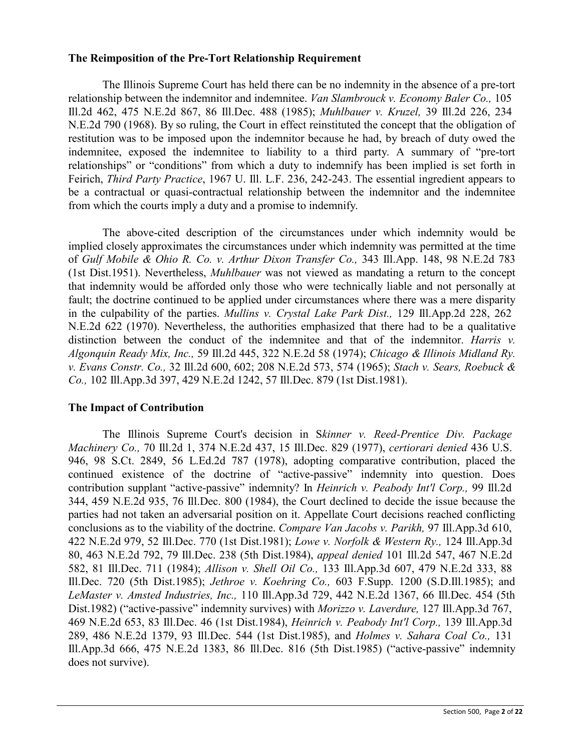#### **The Reimposition of the Pre-Tort Relationship Requirement**

The Illinois Supreme Court has held there can be no indemnity in the absence of a pre-tort relationship between the indemnitor and indemnitee. *Van Slambrouck v. Economy Baler Co.,* 105 Ill.2d 462, 475 N.E.2d 867, 86 Ill.Dec. 488 (1985); *Muhlbauer v. Kruzel,* 39 Ill.2d 226, 234 N.E.2d 790 (1968). By so ruling, the Court in effect reinstituted the concept that the obligation of restitution was to be imposed upon the indemnitor because he had, by breach of duty owed the indemnitee, exposed the indemnitee to liability to a third party. A summary of "pre-tort relationships" or "conditions" from which a duty to indemnify has been implied is set forth in Feirich, *Third Party Practice*, 1967 U. Ill. L.F. 236, 242-243. The essential ingredient appears to be a contractual or quasi-contractual relationship between the indemnitor and the indemnitee from which the courts imply a duty and a promise to indemnify.

The above-cited description of the circumstances under which indemnity would be implied closely approximates the circumstances under which indemnity was permitted at the time of *Gulf Mobile & Ohio R. Co. v. Arthur Dixon Transfer Co.,* 343 Ill.App. 148, 98 N.E.2d 783 (1st Dist.1951). Nevertheless, *Muhlbauer* was not viewed as mandating a return to the concept that indemnity would be afforded only those who were technically liable and not personally at fault; the doctrine continued to be applied under circumstances where there was a mere disparity in the culpability of the parties. *Mullins v. Crystal Lake Park Dist.,* 129 Ill.App.2d 228, 262 N.E.2d 622 (1970). Nevertheless, the authorities emphasized that there had to be a qualitative distinction between the conduct of the indemnitee and that of the indemnitor. *Harris v. Algonquin Ready Mix, Inc.,* 59 Ill.2d 445, 322 N.E.2d 58 (1974); *Chicago & Illinois Midland Ry. v. Evans Constr. Co.,* 32 Ill.2d 600, 602; 208 N.E.2d 573, 574 (1965); *Stach v. Sears, Roebuck & Co.,* 102 Ill.App.3d 397, 429 N.E.2d 1242, 57 Ill.Dec. 879 (1st Dist.1981).

# **The Impact of Contribution**

The Illinois Supreme Court's decision in S*kinner v. Reed-Prentice Div. Package Machinery Co.,* 70 Ill.2d 1, 374 N.E.2d 437, 15 Ill.Dec. 829 (1977), *certiorari denied* 436 U.S. 946, 98 S.Ct. 2849, 56 L.Ed.2d 787 (1978), adopting comparative contribution, placed the continued existence of the doctrine of "active-passive" indemnity into question. Does contribution supplant "active-passive" indemnity? In *Heinrich v. Peabody Int'l Corp.,* 99 Ill.2d 344, 459 N.E.2d 935, 76 Ill.Dec. 800 (1984), the Court declined to decide the issue because the parties had not taken an adversarial position on it. Appellate Court decisions reached conflicting conclusions as to the viability of the doctrine. *Compare Van Jacobs v. Parikh,* 97 Ill.App.3d 610, 422 N.E.2d 979, 52 Ill.Dec. 770 (1st Dist.1981); *Lowe v. Norfolk & Western Ry.,* 124 Ill.App.3d 80, 463 N.E.2d 792, 79 Ill.Dec. 238 (5th Dist.1984), *appeal denied* 101 Ill.2d 547, 467 N.E.2d 582, 81 Ill.Dec. 711 (1984); *Allison v. Shell Oil Co.,* 133 Ill.App.3d 607, 479 N.E.2d 333, 88 Ill.Dec. 720 (5th Dist.1985); *Jethroe v. Koehring Co.,* 603 F.Supp. 1200 (S.D.Ill.1985); and *LeMaster v. Amsted Industries, Inc.,* 110 Ill.App.3d 729, 442 N.E.2d 1367, 66 Ill.Dec. 454 (5th Dist.1982) ("active-passive" indemnity survives) with *Morizzo v. Laverdure,* 127 Ill.App.3d 767, 469 N.E.2d 653, 83 Ill.Dec. 46 (1st Dist.1984), *Heinrich v. Peabody Int'l Corp.,* 139 Ill.App.3d 289, 486 N.E.2d 1379, 93 Ill.Dec. 544 (1st Dist.1985), and *Holmes v. Sahara Coal Co.,* 131 Ill.App.3d 666, 475 N.E.2d 1383, 86 Ill.Dec. 816 (5th Dist.1985) ("active-passive" indemnity does not survive).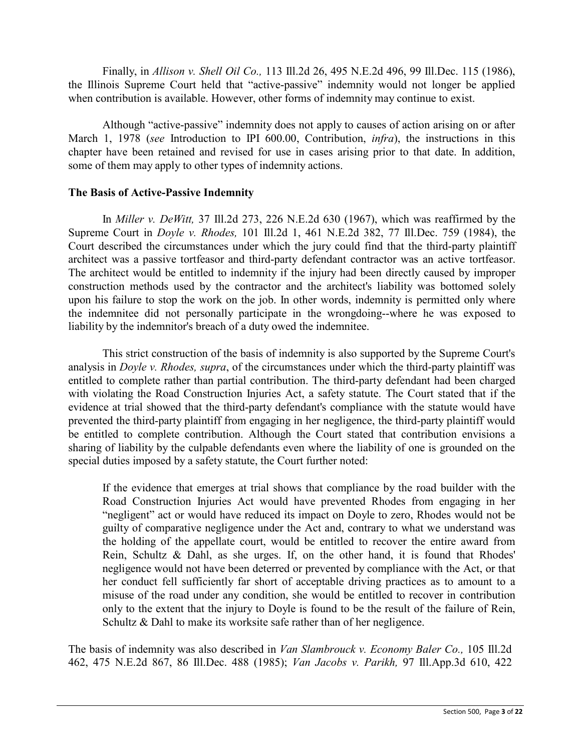Finally, in *Allison v. Shell Oil Co.,* 113 Ill.2d 26, 495 N.E.2d 496, 99 Ill.Dec. 115 (1986), the Illinois Supreme Court held that "active-passive" indemnity would not longer be applied when contribution is available. However, other forms of indemnity may continue to exist.

Although "active-passive" indemnity does not apply to causes of action arising on or after March 1, 1978 (*see* Introduction to IPI 600.00, Contribution, *infra*), the instructions in this chapter have been retained and revised for use in cases arising prior to that date. In addition, some of them may apply to other types of indemnity actions.

#### **The Basis of Active-Passive Indemnity**

In *Miller v. DeWitt,* 37 Ill.2d 273, 226 N.E.2d 630 (1967), which was reaffirmed by the Supreme Court in *Doyle v. Rhodes,* 101 Ill.2d 1, 461 N.E.2d 382, 77 Ill.Dec. 759 (1984), the Court described the circumstances under which the jury could find that the third-party plaintiff architect was a passive tortfeasor and third-party defendant contractor was an active tortfeasor. The architect would be entitled to indemnity if the injury had been directly caused by improper construction methods used by the contractor and the architect's liability was bottomed solely upon his failure to stop the work on the job. In other words, indemnity is permitted only where the indemnitee did not personally participate in the wrongdoing--where he was exposed to liability by the indemnitor's breach of a duty owed the indemnitee.

This strict construction of the basis of indemnity is also supported by the Supreme Court's analysis in *Doyle v. Rhodes, supra*, of the circumstances under which the third-party plaintiff was entitled to complete rather than partial contribution. The third-party defendant had been charged with violating the Road Construction Injuries Act, a safety statute. The Court stated that if the evidence at trial showed that the third-party defendant's compliance with the statute would have prevented the third-party plaintiff from engaging in her negligence, the third-party plaintiff would be entitled to complete contribution. Although the Court stated that contribution envisions a sharing of liability by the culpable defendants even where the liability of one is grounded on the special duties imposed by a safety statute, the Court further noted:

If the evidence that emerges at trial shows that compliance by the road builder with the Road Construction Injuries Act would have prevented Rhodes from engaging in her "negligent" act or would have reduced its impact on Doyle to zero, Rhodes would not be guilty of comparative negligence under the Act and, contrary to what we understand was the holding of the appellate court, would be entitled to recover the entire award from Rein, Schultz & Dahl, as she urges. If, on the other hand, it is found that Rhodes' negligence would not have been deterred or prevented by compliance with the Act, or that her conduct fell sufficiently far short of acceptable driving practices as to amount to a misuse of the road under any condition, she would be entitled to recover in contribution only to the extent that the injury to Doyle is found to be the result of the failure of Rein, Schultz & Dahl to make its worksite safe rather than of her negligence.

The basis of indemnity was also described in *Van Slambrouck v. Economy Baler Co.,* 105 Ill.2d 462, 475 N.E.2d 867, 86 Ill.Dec. 488 (1985); *Van Jacobs v. Parikh,* 97 Ill.App.3d 610, 422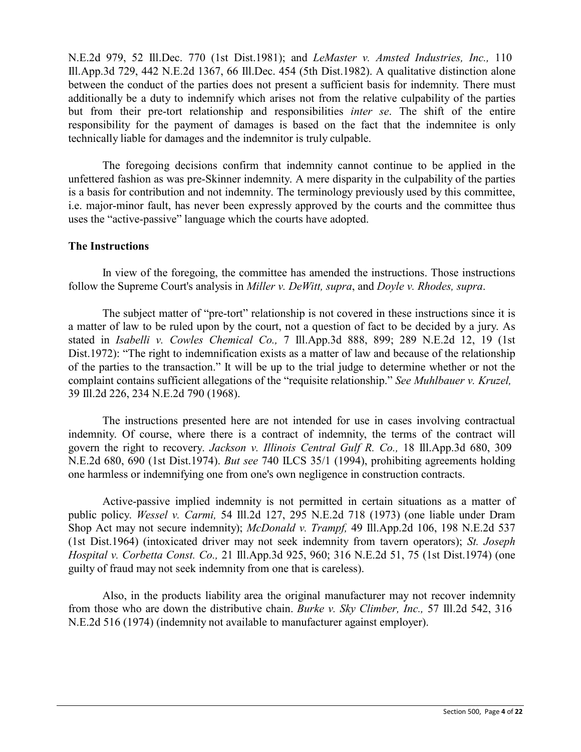N.E.2d 979, 52 Ill.Dec. 770 (1st Dist.1981); and *LeMaster v. Amsted Industries, Inc.,* 110 Ill.App.3d 729, 442 N.E.2d 1367, 66 Ill.Dec. 454 (5th Dist.1982). A qualitative distinction alone between the conduct of the parties does not present a sufficient basis for indemnity. There must additionally be a duty to indemnify which arises not from the relative culpability of the parties but from their pre-tort relationship and responsibilities *inter se*. The shift of the entire responsibility for the payment of damages is based on the fact that the indemnitee is only technically liable for damages and the indemnitor is truly culpable.

The foregoing decisions confirm that indemnity cannot continue to be applied in the unfettered fashion as was pre-Skinner indemnity. A mere disparity in the culpability of the parties is a basis for contribution and not indemnity. The terminology previously used by this committee, i.e. major-minor fault, has never been expressly approved by the courts and the committee thus uses the "active-passive" language which the courts have adopted.

### **The Instructions**

In view of the foregoing, the committee has amended the instructions. Those instructions follow the Supreme Court's analysis in *Miller v. DeWitt, supra*, and *Doyle v. Rhodes, supra*.

The subject matter of "pre-tort" relationship is not covered in these instructions since it is a matter of law to be ruled upon by the court, not a question of fact to be decided by a jury. As stated in *Isabelli v. Cowles Chemical Co.,* 7 Ill.App.3d 888, 899; 289 N.E.2d 12, 19 (1st Dist.1972): "The right to indemnification exists as a matter of law and because of the relationship of the parties to the transaction." It will be up to the trial judge to determine whether or not the complaint contains sufficient allegations of the "requisite relationship." *See Muhlbauer v. Kruzel,* 39 Ill.2d 226, 234 N.E.2d 790 (1968).

The instructions presented here are not intended for use in cases involving contractual indemnity. Of course, where there is a contract of indemnity, the terms of the contract will govern the right to recovery. *Jackson v. Illinois Central Gulf R. Co.,* 18 Ill.App.3d 680, 309 N.E.2d 680, 690 (1st Dist.1974). *But see* 740 ILCS 35/1 (1994), prohibiting agreements holding one harmless or indemnifying one from one's own negligence in construction contracts.

Active-passive implied indemnity is not permitted in certain situations as a matter of public policy. *Wessel v. Carmi,* 54 Ill.2d 127, 295 N.E.2d 718 (1973) (one liable under Dram Shop Act may not secure indemnity); *McDonald v. Trampf,* 49 Ill.App.2d 106, 198 N.E.2d 537 (1st Dist.1964) (intoxicated driver may not seek indemnity from tavern operators); *St. Joseph Hospital v. Corbetta Const. Co.,* 21 Ill.App.3d 925, 960; 316 N.E.2d 51, 75 (1st Dist.1974) (one guilty of fraud may not seek indemnity from one that is careless).

Also, in the products liability area the original manufacturer may not recover indemnity from those who are down the distributive chain. *Burke v. Sky Climber, Inc.,* 57 Ill.2d 542, 316 N.E.2d 516 (1974) (indemnity not available to manufacturer against employer).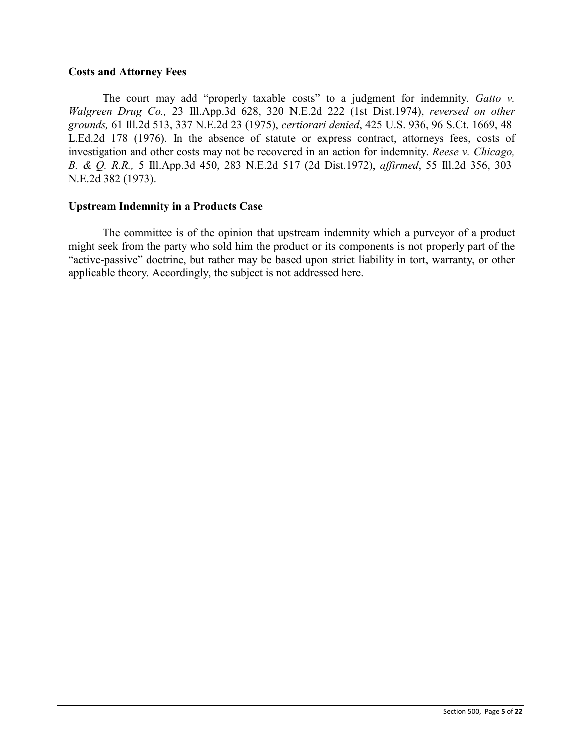#### **Costs and Attorney Fees**

The court may add "properly taxable costs" to a judgment for indemnity. *Gatto v. Walgreen Drug Co.,* 23 Ill.App.3d 628, 320 N.E.2d 222 (1st Dist.1974), *reversed on other grounds,* 61 Ill.2d 513, 337 N.E.2d 23 (1975), *certiorari denied*, 425 U.S. 936, 96 S.Ct. 1669, 48 L.Ed.2d 178 (1976). In the absence of statute or express contract, attorneys fees, costs of investigation and other costs may not be recovered in an action for indemnity. *Reese v. Chicago, B. & Q. R.R.,* 5 Ill.App.3d 450, 283 N.E.2d 517 (2d Dist.1972), *affirmed*, 55 Ill.2d 356, 303 N.E.2d 382 (1973).

#### **Upstream Indemnity in a Products Case**

The committee is of the opinion that upstream indemnity which a purveyor of a product might seek from the party who sold him the product or its components is not properly part of the "active-passive" doctrine, but rather may be based upon strict liability in tort, warranty, or other applicable theory. Accordingly, the subject is not addressed here.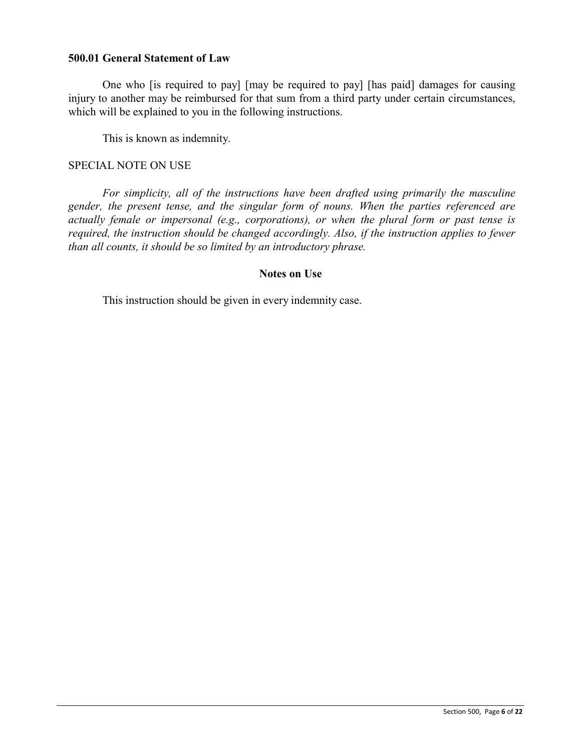#### **500.01 General Statement of Law**

One who [is required to pay] [may be required to pay] [has paid] damages for causing injury to another may be reimbursed for that sum from a third party under certain circumstances, which will be explained to you in the following instructions.

This is known as indemnity.

#### SPECIAL NOTE ON USE

*For simplicity, all of the instructions have been drafted using primarily the masculine gender, the present tense, and the singular form of nouns. When the parties referenced are actually female or impersonal (e.g., corporations), or when the plural form or past tense is required, the instruction should be changed accordingly. Also, if the instruction applies to fewer than all counts, it should be so limited by an introductory phrase.*

#### **Notes on Use**

This instruction should be given in every indemnity case.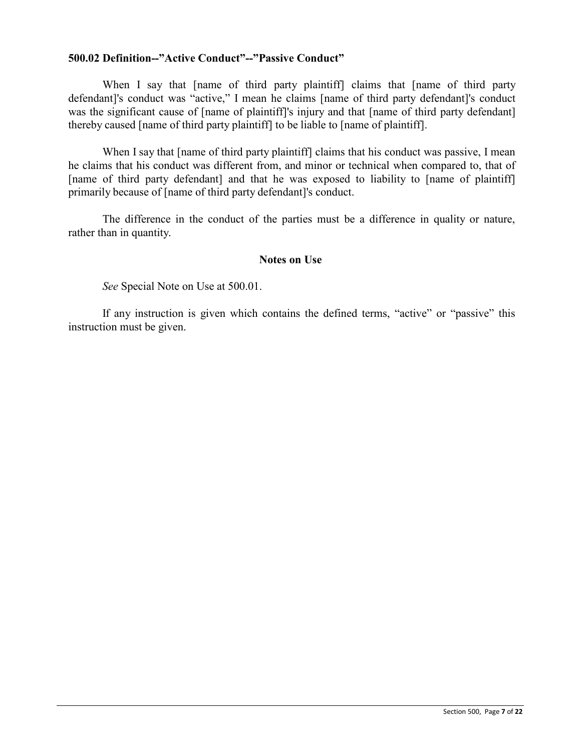### **500.02 Definition--"Active Conduct"--"Passive Conduct"**

When I say that [name of third party plaintiff] claims that [name of third party defendant]'s conduct was "active," I mean he claims [name of third party defendant]'s conduct was the significant cause of [name of plaintiff]'s injury and that [name of third party defendant] thereby caused [name of third party plaintiff] to be liable to [name of plaintiff].

When I say that [name of third party plaintiff] claims that his conduct was passive, I mean he claims that his conduct was different from, and minor or technical when compared to, that of [name of third party defendant] and that he was exposed to liability to [name of plaintiff] primarily because of [name of third party defendant]'s conduct.

The difference in the conduct of the parties must be a difference in quality or nature, rather than in quantity.

#### **Notes on Use**

*See* Special Note on Use at 500.01.

If any instruction is given which contains the defined terms, "active" or "passive" this instruction must be given.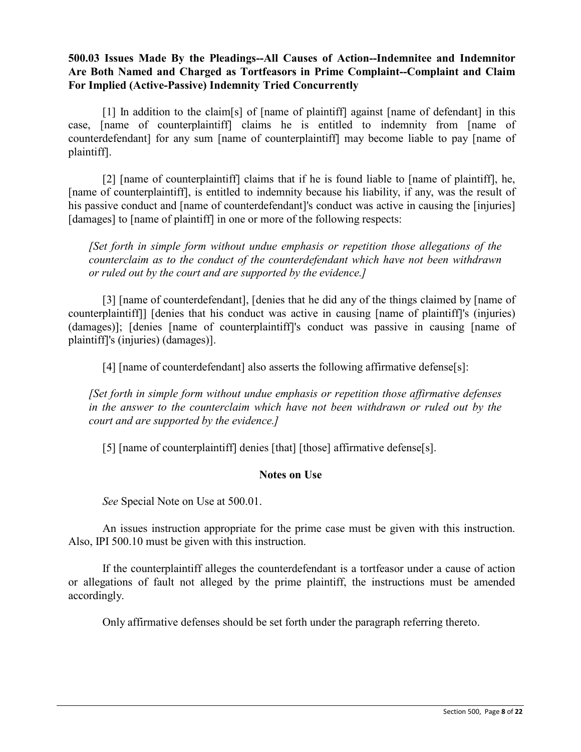# **500.03 Issues Made By the Pleadings--All Causes of Action--Indemnitee and Indemnitor Are Both Named and Charged as Tortfeasors in Prime Complaint--Complaint and Claim For Implied (Active-Passive) Indemnity Tried Concurrently**

[1] In addition to the claim[s] of [name of plaintiff] against [name of defendant] in this case, [name of counterplaintiff] claims he is entitled to indemnity from [name of counterdefendant] for any sum [name of counterplaintiff] may become liable to pay [name of plaintiff].

[2] [name of counterplaintiff] claims that if he is found liable to [name of plaintiff], he, [name of counterplaintiff], is entitled to indemnity because his liability, if any, was the result of his passive conduct and [name of counterdefendant]'s conduct was active in causing the [injuries] [damages] to [name of plaintiff] in one or more of the following respects:

*[Set forth in simple form without undue emphasis or repetition those allegations of the counterclaim as to the conduct of the counterdefendant which have not been withdrawn or ruled out by the court and are supported by the evidence.]*

[3] [name of counterdefendant], [denies that he did any of the things claimed by [name of counterplaintiff]] [denies that his conduct was active in causing [name of plaintiff]'s (injuries) (damages)]; [denies [name of counterplaintiff]'s conduct was passive in causing [name of plaintiff]'s (injuries) (damages)].

[4] [name of counterdefendant] also asserts the following affirmative defense[s]:

*[Set forth in simple form without undue emphasis or repetition those affirmative defenses in the answer to the counterclaim which have not been withdrawn or ruled out by the court and are supported by the evidence.]*

[5] [name of counterplaintiff] denies [that] [those] affirmative defense[s].

# **Notes on Use**

*See* Special Note on Use at 500.01.

An issues instruction appropriate for the prime case must be given with this instruction. Also, IPI 500.10 must be given with this instruction.

If the counterplaintiff alleges the counterdefendant is a tortfeasor under a cause of action or allegations of fault not alleged by the prime plaintiff, the instructions must be amended accordingly.

Only affirmative defenses should be set forth under the paragraph referring thereto.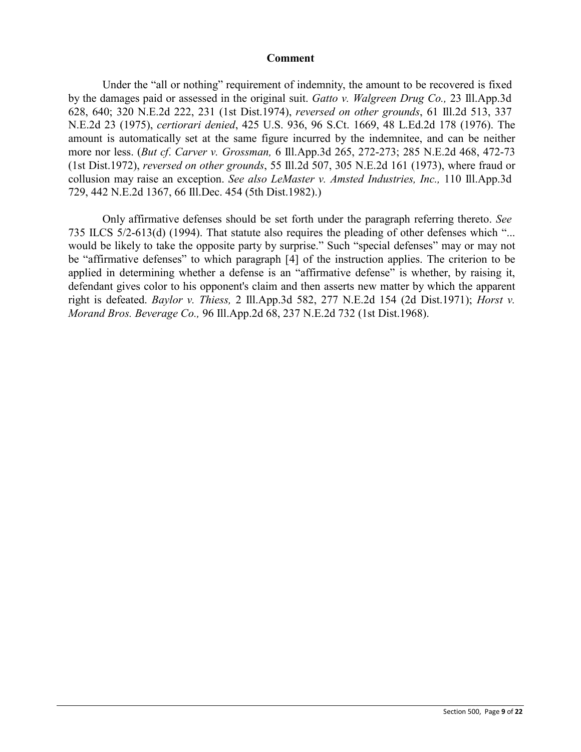#### **Comment**

Under the "all or nothing" requirement of indemnity, the amount to be recovered is fixed by the damages paid or assessed in the original suit. *Gatto v. Walgreen Drug Co.,* 23 Ill.App.3d 628, 640; 320 N.E.2d 222, 231 (1st Dist.1974), *reversed on other grounds*, 61 Ill.2d 513, 337 N.E.2d 23 (1975), *certiorari denied*, 425 U.S. 936, 96 S.Ct. 1669, 48 L.Ed.2d 178 (1976). The amount is automatically set at the same figure incurred by the indemnitee, and can be neither more nor less. (*But cf*. *Carver v. Grossman,* 6 Ill.App.3d 265, 272-273; 285 N.E.2d 468, 472-73 (1st Dist.1972), *reversed on other grounds*, 55 Ill.2d 507, 305 N.E.2d 161 (1973), where fraud or collusion may raise an exception. *See also LeMaster v. Amsted Industries, Inc.,* 110 Ill.App.3d 729, 442 N.E.2d 1367, 66 Ill.Dec. 454 (5th Dist.1982).)

Only affirmative defenses should be set forth under the paragraph referring thereto. *See* 735 ILCS 5/2-613(d) (1994). That statute also requires the pleading of other defenses which "... would be likely to take the opposite party by surprise." Such "special defenses" may or may not be "affirmative defenses" to which paragraph [4] of the instruction applies. The criterion to be applied in determining whether a defense is an "affirmative defense" is whether, by raising it, defendant gives color to his opponent's claim and then asserts new matter by which the apparent right is defeated. *Baylor v. Thiess,* 2 Ill.App.3d 582, 277 N.E.2d 154 (2d Dist.1971); *Horst v. Morand Bros. Beverage Co.,* 96 Ill.App.2d 68, 237 N.E.2d 732 (1st Dist.1968).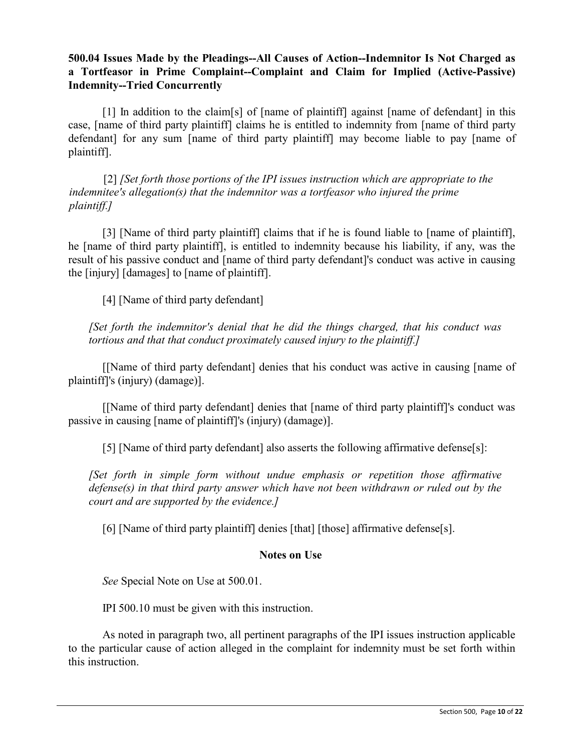# **500.04 Issues Made by the Pleadings--All Causes of Action--Indemnitor Is Not Charged as a Tortfeasor in Prime Complaint--Complaint and Claim for Implied (Active-Passive) Indemnity--Tried Concurrently**

[1] In addition to the claim[s] of [name of plaintiff] against [name of defendant] in this case, [name of third party plaintiff] claims he is entitled to indemnity from [name of third party defendant] for any sum [name of third party plaintiff] may become liable to pay [name of plaintiff].

 [2] *[Set forth those portions of the IPI issues instruction which are appropriate to the indemnitee's allegation(s) that the indemnitor was a tortfeasor who injured the prime plaintiff.]*

[3] [Name of third party plaintiff] claims that if he is found liable to [name of plaintiff], he [name of third party plaintiff], is entitled to indemnity because his liability, if any, was the result of his passive conduct and [name of third party defendant]'s conduct was active in causing the [injury] [damages] to [name of plaintiff].

[4] [Name of third party defendant]

*[Set forth the indemnitor's denial that he did the things charged, that his conduct was tortious and that that conduct proximately caused injury to the plaintiff.]*

[[Name of third party defendant] denies that his conduct was active in causing [name of plaintiff]'s (injury) (damage)].

[[Name of third party defendant] denies that [name of third party plaintiff]'s conduct was passive in causing [name of plaintiff]'s (injury) (damage)].

[5] [Name of third party defendant] also asserts the following affirmative defense[s]:

*[Set forth in simple form without undue emphasis or repetition those affirmative defense(s) in that third party answer which have not been withdrawn or ruled out by the court and are supported by the evidence.]*

[6] [Name of third party plaintiff] denies [that] [those] affirmative defense[s].

# **Notes on Use**

*See* Special Note on Use at 500.01.

IPI 500.10 must be given with this instruction.

As noted in paragraph two, all pertinent paragraphs of the IPI issues instruction applicable to the particular cause of action alleged in the complaint for indemnity must be set forth within this instruction.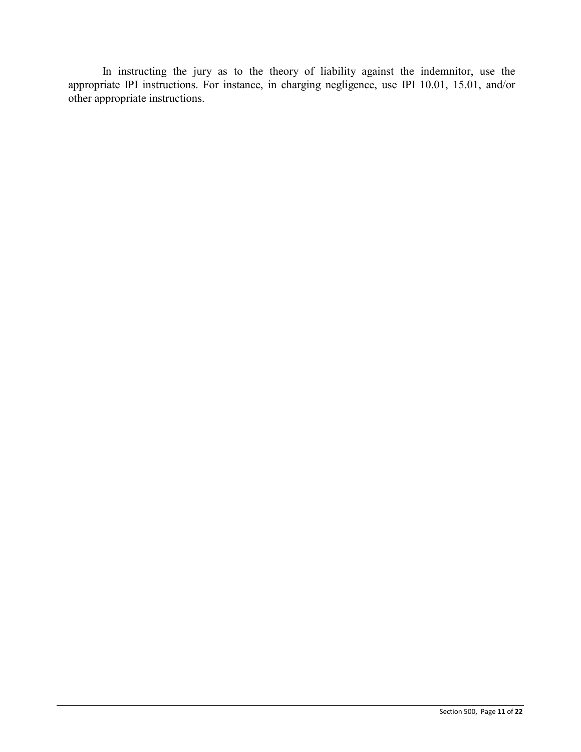In instructing the jury as to the theory of liability against the indemnitor, use the appropriate IPI instructions. For instance, in charging negligence, use IPI 10.01, 15.01, and/or other appropriate instructions.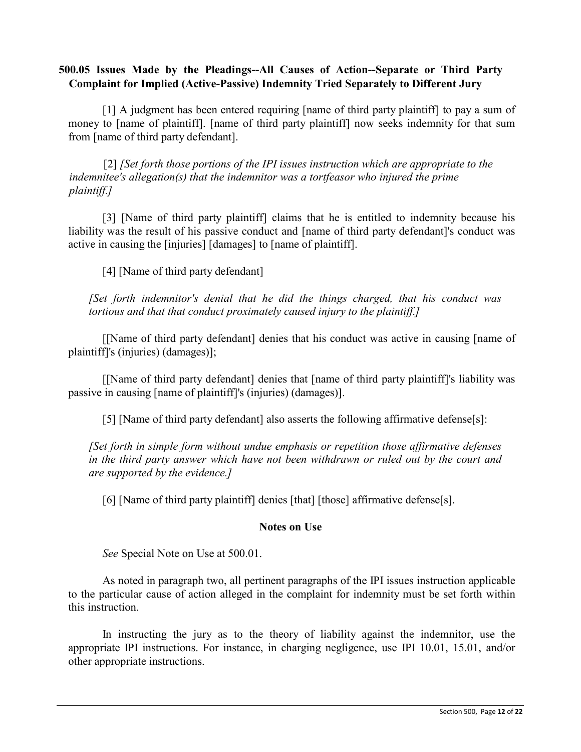# **500.05 Issues Made by the Pleadings--All Causes of Action--Separate or Third Party Complaint for Implied (Active-Passive) Indemnity Tried Separately to Different Jury**

[1] A judgment has been entered requiring [name of third party plaintiff] to pay a sum of money to [name of plaintiff]. [name of third party plaintiff] now seeks indemnity for that sum from [name of third party defendant].

 [2] *[Set forth those portions of the IPI issues instruction which are appropriate to the indemnitee's allegation(s) that the indemnitor was a tortfeasor who injured the prime plaintiff.]*

[3] [Name of third party plaintiff] claims that he is entitled to indemnity because his liability was the result of his passive conduct and [name of third party defendant]'s conduct was active in causing the [injuries] [damages] to [name of plaintiff].

[4] [Name of third party defendant]

*[Set forth indemnitor's denial that he did the things charged, that his conduct was tortious and that that conduct proximately caused injury to the plaintiff.]*

[[Name of third party defendant] denies that his conduct was active in causing [name of plaintiff]'s (injuries) (damages)];

[[Name of third party defendant] denies that [name of third party plaintiff]'s liability was passive in causing [name of plaintiff]'s (injuries) (damages)].

[5] [Name of third party defendant] also asserts the following affirmative defense[s]:

*[Set forth in simple form without undue emphasis or repetition those affirmative defenses in the third party answer which have not been withdrawn or ruled out by the court and are supported by the evidence.]*

[6] [Name of third party plaintiff] denies [that] [those] affirmative defense[s].

# **Notes on Use**

*See* Special Note on Use at 500.01.

As noted in paragraph two, all pertinent paragraphs of the IPI issues instruction applicable to the particular cause of action alleged in the complaint for indemnity must be set forth within this instruction.

In instructing the jury as to the theory of liability against the indemnitor, use the appropriate IPI instructions. For instance, in charging negligence, use IPI 10.01, 15.01, and/or other appropriate instructions.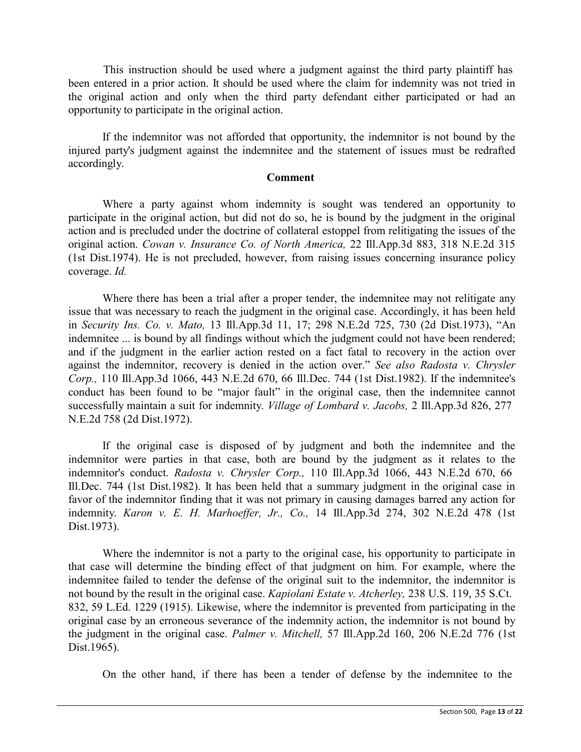This instruction should be used where a judgment against the third party plaintiff has been entered in a prior action. It should be used where the claim for indemnity was not tried in the original action and only when the third party defendant either participated or had an opportunity to participate in the original action.

If the indemnitor was not afforded that opportunity, the indemnitor is not bound by the injured party's judgment against the indemnitee and the statement of issues must be redrafted accordingly.

#### **Comment**

Where a party against whom indemnity is sought was tendered an opportunity to participate in the original action, but did not do so, he is bound by the judgment in the original action and is precluded under the doctrine of collateral estoppel from relitigating the issues of the original action. *Cowan v. Insurance Co. of North America,* 22 Ill.App.3d 883, 318 N.E.2d 315 (1st Dist.1974). He is not precluded, however, from raising issues concerning insurance policy coverage. *Id.*

Where there has been a trial after a proper tender, the indemnitee may not relitigate any issue that was necessary to reach the judgment in the original case. Accordingly, it has been held in *Security Ins. Co. v. Mato,* 13 Ill.App.3d 11, 17; 298 N.E.2d 725, 730 (2d Dist.1973), "An indemnitee ... is bound by all findings without which the judgment could not have been rendered; and if the judgment in the earlier action rested on a fact fatal to recovery in the action over against the indemnitor, recovery is denied in the action over." *See also Radosta v. Chrysler Corp.,* 110 Ill.App.3d 1066, 443 N.E.2d 670, 66 Ill.Dec. 744 (1st Dist.1982). If the indemnitee's conduct has been found to be "major fault" in the original case, then the indemnitee cannot successfully maintain a suit for indemnity. *Village of Lombard v. Jacobs,* 2 Ill.App.3d 826, 277 N.E.2d 758 (2d Dist.1972).

If the original case is disposed of by judgment and both the indemnitee and the indemnitor were parties in that case, both are bound by the judgment as it relates to the indemnitor's conduct. *Radosta v. Chrysler Corp.,* 110 Ill.App.3d 1066, 443 N.E.2d 670, 66 Ill.Dec. 744 (1st Dist.1982). It has been held that a summary judgment in the original case in favor of the indemnitor finding that it was not primary in causing damages barred any action for indemnity. *Karon v. E. H. Marhoeffer, Jr., Co.,* 14 Ill.App.3d 274, 302 N.E.2d 478 (1st Dist.1973).

Where the indemnitor is not a party to the original case, his opportunity to participate in that case will determine the binding effect of that judgment on him. For example, where the indemnitee failed to tender the defense of the original suit to the indemnitor, the indemnitor is not bound by the result in the original case. *Kapiolani Estate v. Atcherley,* 238 U.S. 119, 35 S.Ct. 832, 59 L.Ed. 1229 (1915). Likewise, where the indemnitor is prevented from participating in the original case by an erroneous severance of the indemnity action, the indemnitor is not bound by the judgment in the original case. *Palmer v. Mitchell,* 57 Ill.App.2d 160, 206 N.E.2d 776 (1st Dist.1965).

On the other hand, if there has been a tender of defense by the indemnitee to the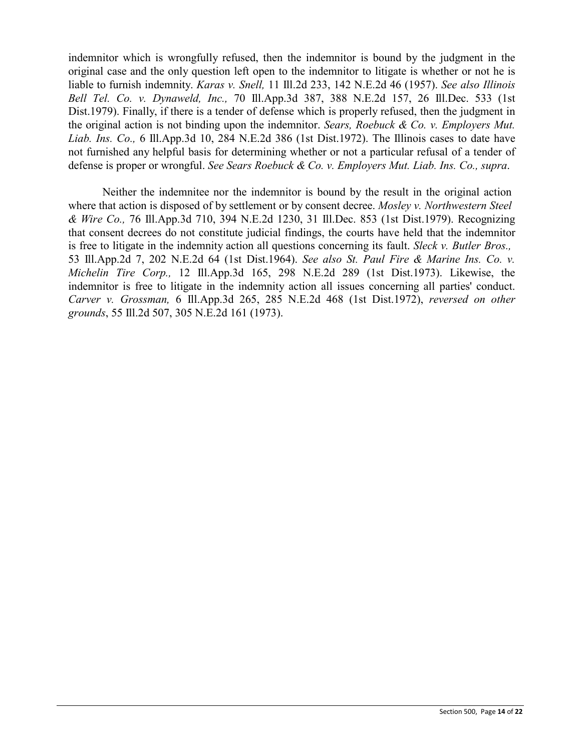indemnitor which is wrongfully refused, then the indemnitor is bound by the judgment in the original case and the only question left open to the indemnitor to litigate is whether or not he is liable to furnish indemnity. *Karas v. Snell,* 11 Ill.2d 233, 142 N.E.2d 46 (1957). *See also Illinois Bell Tel. Co. v. Dynaweld, Inc.,* 70 Ill.App.3d 387, 388 N.E.2d 157, 26 Ill.Dec. 533 (1st Dist.1979). Finally, if there is a tender of defense which is properly refused, then the judgment in the original action is not binding upon the indemnitor. *Sears, Roebuck & Co. v. Employers Mut. Liab. Ins. Co.,* 6 Ill.App.3d 10, 284 N.E.2d 386 (1st Dist.1972). The Illinois cases to date have not furnished any helpful basis for determining whether or not a particular refusal of a tender of defense is proper or wrongful. *See Sears Roebuck & Co. v. Employers Mut. Liab. Ins. Co., supra*.

Neither the indemnitee nor the indemnitor is bound by the result in the original action where that action is disposed of by settlement or by consent decree. *Mosley v. Northwestern Steel & Wire Co.,* 76 Ill.App.3d 710, 394 N.E.2d 1230, 31 Ill.Dec. 853 (1st Dist.1979). Recognizing that consent decrees do not constitute judicial findings, the courts have held that the indemnitor is free to litigate in the indemnity action all questions concerning its fault. *Sleck v. Butler Bros.,* 53 Ill.App.2d 7, 202 N.E.2d 64 (1st Dist.1964). *See also St. Paul Fire & Marine Ins. Co. v. Michelin Tire Corp.,* 12 Ill.App.3d 165, 298 N.E.2d 289 (1st Dist.1973). Likewise, the indemnitor is free to litigate in the indemnity action all issues concerning all parties' conduct. *Carver v. Grossman,* 6 Ill.App.3d 265, 285 N.E.2d 468 (1st Dist.1972), *reversed on other grounds*, 55 Ill.2d 507, 305 N.E.2d 161 (1973).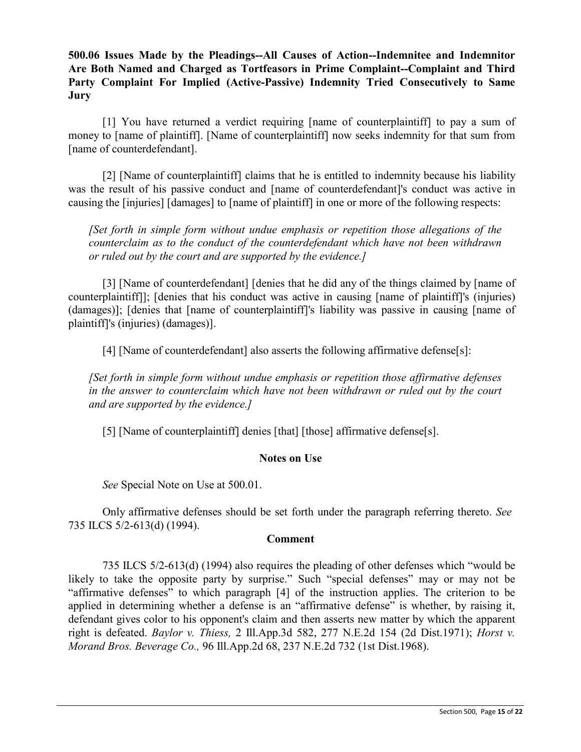**500.06 Issues Made by the Pleadings--All Causes of Action--Indemnitee and Indemnitor Are Both Named and Charged as Tortfeasors in Prime Complaint--Complaint and Third Party Complaint For Implied (Active-Passive) Indemnity Tried Consecutively to Same Jury**

[1] You have returned a verdict requiring [name of counterplaintiff] to pay a sum of money to [name of plaintiff]. [Name of counterplaintiff] now seeks indemnity for that sum from [name of counterdefendant].

[2] [Name of counterplaintiff] claims that he is entitled to indemnity because his liability was the result of his passive conduct and [name of counterdefendant]'s conduct was active in causing the [injuries] [damages] to [name of plaintiff] in one or more of the following respects:

*[Set forth in simple form without undue emphasis or repetition those allegations of the counterclaim as to the conduct of the counterdefendant which have not been withdrawn or ruled out by the court and are supported by the evidence.]*

[3] [Name of counterdefendant] [denies that he did any of the things claimed by [name of counterplaintiff]]; [denies that his conduct was active in causing [name of plaintiff]'s (injuries) (damages)]; [denies that [name of counterplaintiff]'s liability was passive in causing [name of plaintiff]'s (injuries) (damages)].

[4] [Name of counterdefendant] also asserts the following affirmative defense[s]:

*[Set forth in simple form without undue emphasis or repetition those affirmative defenses in the answer to counterclaim which have not been withdrawn or ruled out by the court and are supported by the evidence.]*

[5] [Name of counterplaintiff] denies [that] [those] affirmative defense[s].

#### **Notes on Use**

*See* Special Note on Use at 500.01.

Only affirmative defenses should be set forth under the paragraph referring thereto. *See* 735 ILCS 5/2-613(d) (1994).

#### **Comment**

735 ILCS 5/2-613(d) (1994) also requires the pleading of other defenses which "would be likely to take the opposite party by surprise." Such "special defenses" may or may not be "affirmative defenses" to which paragraph [4] of the instruction applies. The criterion to be applied in determining whether a defense is an "affirmative defense" is whether, by raising it, defendant gives color to his opponent's claim and then asserts new matter by which the apparent right is defeated. *Baylor v. Thiess,* 2 Ill.App.3d 582, 277 N.E.2d 154 (2d Dist.1971); *Horst v. Morand Bros. Beverage Co.,* 96 Ill.App.2d 68, 237 N.E.2d 732 (1st Dist.1968).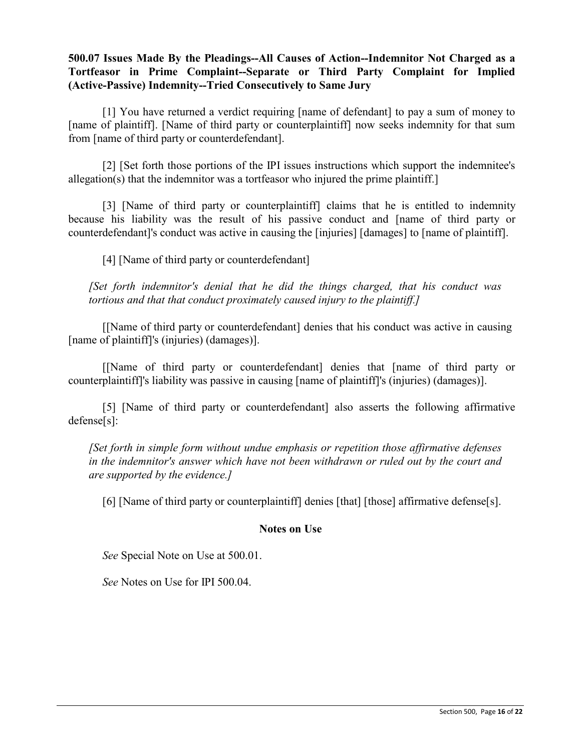# **500.07 Issues Made By the Pleadings--All Causes of Action--Indemnitor Not Charged as a Tortfeasor in Prime Complaint--Separate or Third Party Complaint for Implied (Active-Passive) Indemnity--Tried Consecutively to Same Jury**

[1] You have returned a verdict requiring [name of defendant] to pay a sum of money to [name of plaintiff]. [Name of third party or counterplaintiff] now seeks indemnity for that sum from [name of third party or counterdefendant].

[2] [Set forth those portions of the IPI issues instructions which support the indemnitee's allegation(s) that the indemnitor was a tortfeasor who injured the prime plaintiff.]

[3] [Name of third party or counterplaintiff] claims that he is entitled to indemnity because his liability was the result of his passive conduct and [name of third party or counterdefendant]'s conduct was active in causing the [injuries] [damages] to [name of plaintiff].

[4] [Name of third party or counterdefendant]

*[Set forth indemnitor's denial that he did the things charged, that his conduct was tortious and that that conduct proximately caused injury to the plaintiff.]*

[[Name of third party or counterdefendant] denies that his conduct was active in causing [name of plaintiff]'s (injuries) (damages)].

[[Name of third party or counterdefendant] denies that [name of third party or counterplaintiff]'s liability was passive in causing [name of plaintiff]'s (injuries) (damages)].

[5] [Name of third party or counterdefendant] also asserts the following affirmative defense[s]:

*[Set forth in simple form without undue emphasis or repetition those affirmative defenses in the indemnitor's answer which have not been withdrawn or ruled out by the court and are supported by the evidence.]*

[6] [Name of third party or counterplaintiff] denies [that] [those] affirmative defense[s].

# **Notes on Use**

*See* Special Note on Use at 500.01.

*See* Notes on Use for IPI 500.04.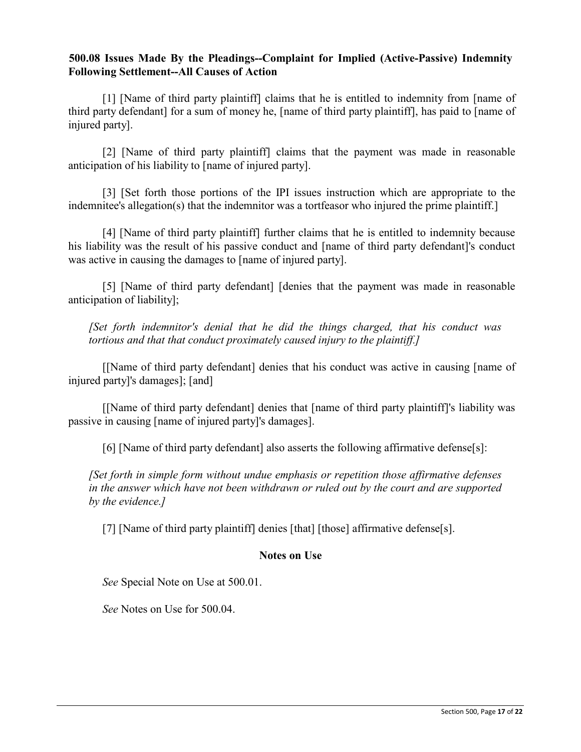### **500.08 Issues Made By the Pleadings--Complaint for Implied (Active-Passive) Indemnity Following Settlement--All Causes of Action**

[1] [Name of third party plaintiff] claims that he is entitled to indemnity from [name of third party defendant] for a sum of money he, [name of third party plaintiff], has paid to [name of injured party].

[2] [Name of third party plaintiff] claims that the payment was made in reasonable anticipation of his liability to [name of injured party].

[3] [Set forth those portions of the IPI issues instruction which are appropriate to the indemnitee's allegation(s) that the indemnitor was a tortfeasor who injured the prime plaintiff.]

[4] [Name of third party plaintiff] further claims that he is entitled to indemnity because his liability was the result of his passive conduct and [name of third party defendant]'s conduct was active in causing the damages to [name of injured party].

[5] [Name of third party defendant] [denies that the payment was made in reasonable anticipation of liability];

*[Set forth indemnitor's denial that he did the things charged, that his conduct was tortious and that that conduct proximately caused injury to the plaintiff.]*

[[Name of third party defendant] denies that his conduct was active in causing [name of injured party]'s damages]; [and]

[[Name of third party defendant] denies that [name of third party plaintiff]'s liability was passive in causing [name of injured party]'s damages].

[6] [Name of third party defendant] also asserts the following affirmative defense[s]:

*[Set forth in simple form without undue emphasis or repetition those affirmative defenses in the answer which have not been withdrawn or ruled out by the court and are supported by the evidence.]*

[7] [Name of third party plaintiff] denies [that] [those] affirmative defense[s].

# **Notes on Use**

*See* Special Note on Use at 500.01.

*See* Notes on Use for 500.04.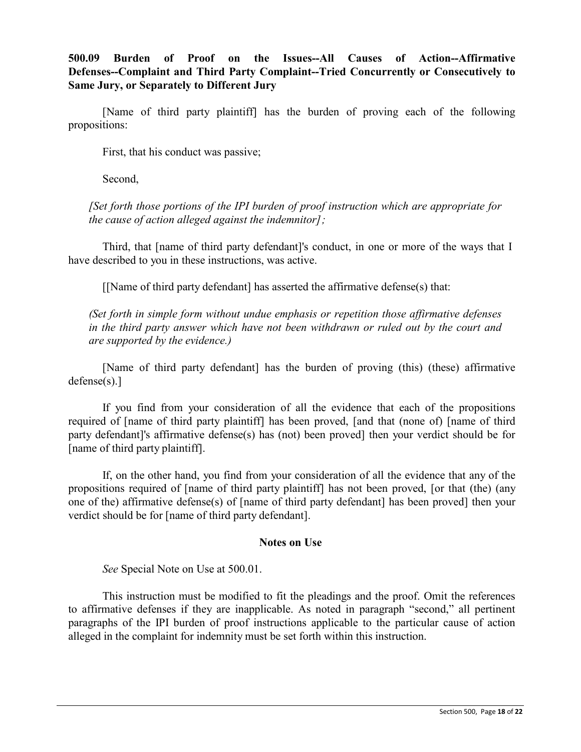**500.09 Burden of Proof on the Issues--All Causes of Action--Affirmative Defenses--Complaint and Third Party Complaint--Tried Concurrently or Consecutively to Same Jury, or Separately to Different Jury**

[Name of third party plaintiff] has the burden of proving each of the following propositions:

First, that his conduct was passive;

Second,

*[Set forth those portions of the IPI burden of proof instruction which are appropriate for the cause of action alleged against the indemnitor];*

Third, that [name of third party defendant]'s conduct, in one or more of the ways that I have described to you in these instructions, was active.

[[Name of third party defendant] has asserted the affirmative defense(s) that:

*(Set forth in simple form without undue emphasis or repetition those affirmative defenses in the third party answer which have not been withdrawn or ruled out by the court and are supported by the evidence.)*

[Name of third party defendant] has the burden of proving (this) (these) affirmative defense(s).]

If you find from your consideration of all the evidence that each of the propositions required of [name of third party plaintiff] has been proved, [and that (none of) [name of third party defendant]'s affirmative defense(s) has (not) been proved] then your verdict should be for [name of third party plaintiff].

If, on the other hand, you find from your consideration of all the evidence that any of the propositions required of [name of third party plaintiff] has not been proved, [or that (the) (any one of the) affirmative defense(s) of [name of third party defendant] has been proved] then your verdict should be for [name of third party defendant].

#### **Notes on Use**

*See* Special Note on Use at 500.01.

This instruction must be modified to fit the pleadings and the proof. Omit the references to affirmative defenses if they are inapplicable. As noted in paragraph "second," all pertinent paragraphs of the IPI burden of proof instructions applicable to the particular cause of action alleged in the complaint for indemnity must be set forth within this instruction.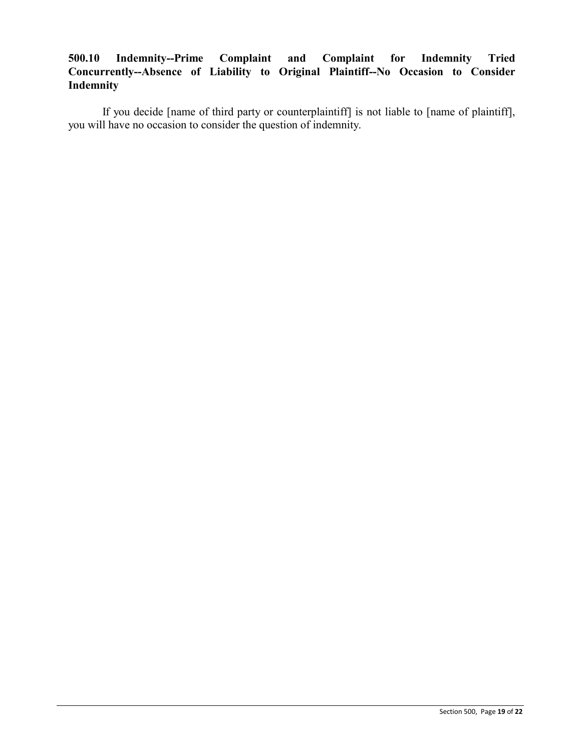# **500.10 Indemnity--Prime Complaint and Complaint for Indemnity Tried Concurrently--Absence of Liability to Original Plaintiff--No Occasion to Consider Indemnity**

If you decide [name of third party or counterplaintiff] is not liable to [name of plaintiff], you will have no occasion to consider the question of indemnity.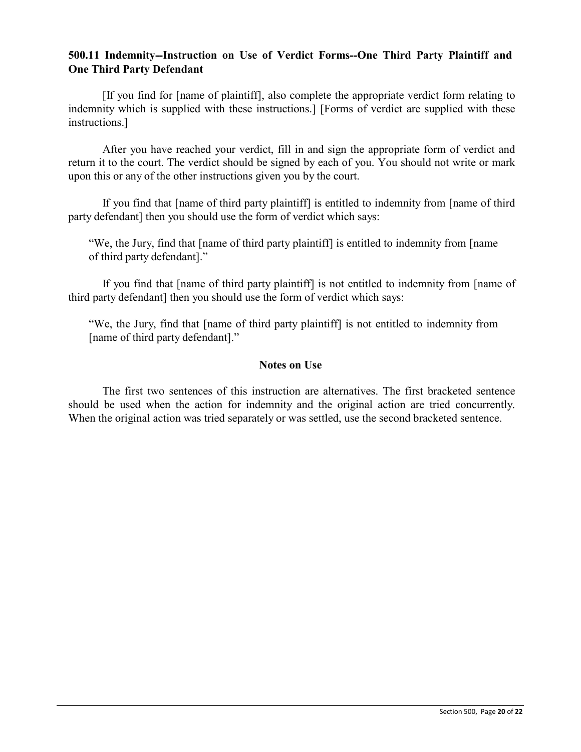### **500.11 Indemnity--Instruction on Use of Verdict Forms--One Third Party Plaintiff and One Third Party Defendant**

[If you find for [name of plaintiff], also complete the appropriate verdict form relating to indemnity which is supplied with these instructions.] [Forms of verdict are supplied with these instructions.]

After you have reached your verdict, fill in and sign the appropriate form of verdict and return it to the court. The verdict should be signed by each of you. You should not write or mark upon this or any of the other instructions given you by the court.

If you find that [name of third party plaintiff] is entitled to indemnity from [name of third party defendant] then you should use the form of verdict which says:

"We, the Jury, find that [name of third party plaintiff] is entitled to indemnity from [name of third party defendant]."

If you find that [name of third party plaintiff] is not entitled to indemnity from [name of third party defendant] then you should use the form of verdict which says:

"We, the Jury, find that [name of third party plaintiff] is not entitled to indemnity from [name of third party defendant]."

#### **Notes on Use**

The first two sentences of this instruction are alternatives. The first bracketed sentence should be used when the action for indemnity and the original action are tried concurrently. When the original action was tried separately or was settled, use the second bracketed sentence.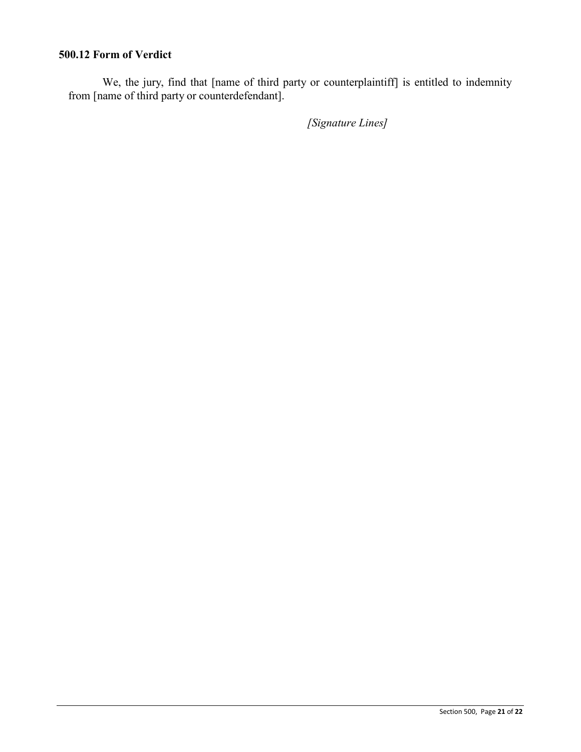# **500.12 Form of Verdict**

We, the jury, find that [name of third party or counterplaintiff] is entitled to indemnity from [name of third party or counterdefendant].

*[Signature Lines]*